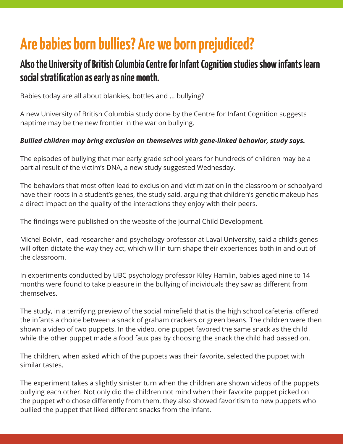## **Are babies born bullies? Are we born prejudiced?**

## **Also the University of British Columbia Centre for Infant Cognition studies show infants learn social stratifcation as early as nine month.**

Babies today are all about blankies, bottles and … bullying?

A new University of British Columbia study done by the Centre for Infant Cognition suggests naptime may be the new frontier in the war on bullying.

## *Bullied children may bring exclusion on themselves with gene-linked behavior, study says.*

The episodes of bullying that mar early grade school years for hundreds of children may be a partial result of the victim's DNA, a new study suggested Wednesday.

The behaviors that most often lead to exclusion and victimization in the classroom or schoolyard have their roots in a student's genes, the study said, arguing that children's genetic makeup has a direct impact on the quality of the interactions they enjoy with their peers.

The findings were published on the website of the journal Child Development.

Michel Boivin, lead researcher and psychology professor at Laval University, said a child's genes will often dictate the way they act, which will in turn shape their experiences both in and out of the classroom.

In experiments conducted by UBC psychology professor Kiley Hamlin, babies aged nine to 14 months were found to take pleasure in the bullying of individuals they saw as diferent from themselves.

The study, in a terrifying preview of the social minefield that is the high school cafeteria, offered the infants a choice between a snack of graham crackers or green beans. The children were then shown a video of two puppets. In the video, one puppet favored the same snack as the child while the other puppet made a food faux pas by choosing the snack the child had passed on.

The children, when asked which of the puppets was their favorite, selected the puppet with similar tastes.

The experiment takes a slightly sinister turn when the children are shown videos of the puppets bullying each other. Not only did the children not mind when their favorite puppet picked on the puppet who chose diferently from them, they also showed favoritism to new puppets who bullied the puppet that liked diferent snacks from the infant.